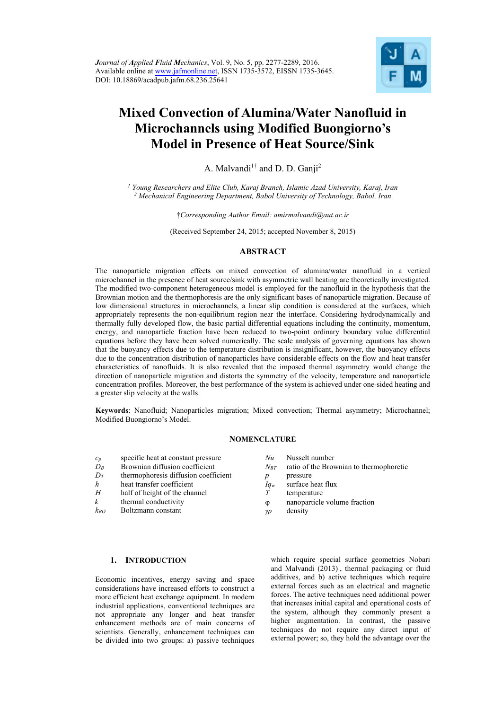

# **Mixed Convection of Alumina/Water Nanofluid in Microchannels using Modified Buongiorno's Model in Presence of Heat Source/Sink**

A. Malvandi<sup>1†</sup> and D. D. Ganii<sup>2</sup>

*1 Young Researchers and Elite Club, Karaj Branch, Islamic Azad University, Karaj, Iran 2 Mechanical Engineering Department, Babol University of Technology, Babol, Iran* 

†*Corresponding Author Email: amirmalvandi@aut.ac.ir* 

(Received September 24, 2015; accepted November 8, 2015)

# **ABSTRACT**

The nanoparticle migration effects on mixed convection of alumina/water nanofluid in a vertical microchannel in the presence of heat source/sink with asymmetric wall heating are theoretically investigated. The modified two-component heterogeneous model is employed for the nanofluid in the hypothesis that the Brownian motion and the thermophoresis are the only significant bases of nanoparticle migration. Because of low dimensional structures in microchannels, a linear slip condition is considered at the surfaces, which appropriately represents the non-equilibrium region near the interface. Considering hydrodynamically and thermally fully developed flow, the basic partial differential equations including the continuity, momentum, energy, and nanoparticle fraction have been reduced to two-point ordinary boundary value differential equations before they have been solved numerically. The scale analysis of governing equations has shown that the buoyancy effects due to the temperature distribution is insignificant, however, the buoyancy effects due to the concentration distribution of nanoparticles have considerable effects on the flow and heat transfer characteristics of nanofluids. It is also revealed that the imposed thermal asymmetry would change the direction of nanoparticle migration and distorts the symmetry of the velocity, temperature and nanoparticle concentration profiles. Moreover, the best performance of the system is achieved under one-sided heating and a greater slip velocity at the walls.

**Keywords**: Nanofluid; Nanoparticles migration; Mixed convection; Thermal asymmetry; Microchannel; Modified Buongiorno's Model.

# **NOMENCLATURE**

- *cp* specific heat at constant pressure
- $D_B$  Brownian diffusion coefficient
- *DT* thermophoresis diffusion coefficient
- *h* heat transfer coefficient<br>*H* half of height of the char
- half of height of the channel
- *k* thermal conductivity
- *kBO* Boltzmann constant
- *Nu* Nusselt number
- *N<sub>BT</sub>* ratio of the Brownian to thermophoretic
- *p* pressure
- *Iqw* surface heat flux<br>*T* temperature
- temperature
- nanoparticle volume fraction
- *γρ* density

# **1. INTRODUCTION**

Economic incentives, energy saving and space considerations have increased efforts to construct a more efficient heat exchange equipment. In modern industrial applications, conventional techniques are not appropriate any longer and heat transfer enhancement methods are of main concerns of scientists. Generally, enhancement techniques can be divided into two groups: a) passive techniques

which require special surface geometries Nobari and Malvandi (2013) , thermal packaging or fluid additives, and b) active techniques which require external forces such as an electrical and magnetic forces. The active techniques need additional power that increases initial capital and operational costs of the system, although they commonly present a higher augmentation. In contrast, the passive techniques do not require any direct input of external power; so, they hold the advantage over the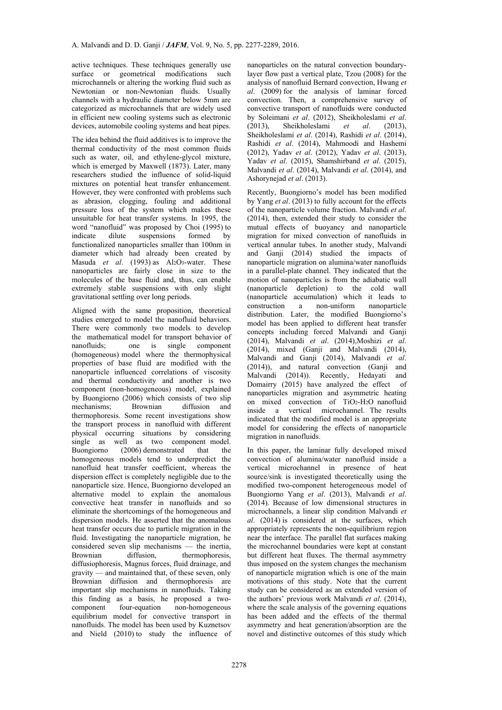active techniques. These techniques generally use surface or geometrical modifications such microchannels or altering the working fluid such as Newtonian or non-Newtonian fluids. Usually channels with a hydraulic diameter below 5mm are categorized as microchannels that are widely used in efficient new cooling systems such as electronic devices, automobile cooling systems and heat pipes.

The idea behind the fluid additives is to improve the thermal conductivity of the most common fluids such as water, oil, and ethylene-glycol mixture, which is emerged by Maxwell (1873). Later, many researchers studied the influence of solid-liquid mixtures on potential heat transfer enhancement. However, they were confronted with problems such as abrasion, clogging, fouling and additional pressure loss of the system which makes these unsuitable for heat transfer systems. In 1995, the word "nanofluid" was proposed by Choi (1995) to indicate dilute suspensions formed by functionalized nanoparticles smaller than 100nm in diameter which had already been created by Masuda *et al.* (1993) as Al<sub>2</sub>O<sub>3</sub>-water. These nanoparticles are fairly close in size to the molecules of the base fluid and, thus, can enable extremely stable suspensions with only slight gravitational settling over long periods.

Aligned with the same proposition, theoretical studies emerged to model the nanofluid behaviors. There were commonly two models to develop the mathematical model for transport behavior of nanofluids; one is single component (homogeneous) model where the thermophysical properties of base fluid are modified with the nanoparticle influenced correlations of viscosity and thermal conductivity and another is two component (non-homogeneous) model, explained by Buongiorno (2006) which consists of two slip mechanisms; Brownian diffusion and thermophoresis. Some recent investigations show the transport process in nanofluid with different physical occurring situations by considering single as well as two component model. Buongiorno (2006) demonstrated that the homogeneous models tend to underpredict the nanofluid heat transfer coefficient, whereas the dispersion effect is completely negligible due to the nanoparticle size. Hence, Buongiorno developed an alternative model to explain the anomalous convective heat transfer in nanofluids and so eliminate the shortcomings of the homogeneous and dispersion models. He asserted that the anomalous heat transfer occurs due to particle migration in the fluid. Investigating the nanoparticle migration, he considered seven slip mechanisms — the inertia, thermophoresis, diffusiophoresis, Magnus forces, fluid drainage, and gravity — and maintained that, of these seven, only Brownian diffusion and thermophoresis are important slip mechanisms in nanofluids. Taking this finding as a basis, he proposed a twocomponent four-equation non-homogeneous equilibrium model for convective transport in nanofluids. The model has been used by Kuznetsov and Nield (2010) to study the influence of

nanoparticles on the natural convection boundarylayer flow past a vertical plate, Tzou (2008) for the analysis of nanofluid Bernard convection, Hwang *et al*. (2009) for the analysis of laminar forced convection. Then, a comprehensive survey of convective transport of nanofluids were conducted by Soleimani *et al*. (2012), Sheikholeslami *et al*. (2013), Sheikholeslami *et al*. (2013), Sheikholeslami *et al*. (2014), Rashidi *et al*. (2014), Rashidi *et al*. (2014), Mahmoodi and Hashemi (2012), Yadav *et al*. (2012), Yadav *et al*. (2013), Yadav *et al*. (2015), Shamshirband *et al*. (2015), Malvandi *et al*. (2014), Malvandi *et al*. (2014), and Ashorynejad *et al*. (2013).

Recently, Buongiorno's model has been modified by Yang *et al*. (2013) to fully account for the effects of the nanoparticle volume fraction. Malvandi *et al*. (2014), then, extended their study to consider the mutual effects of buoyancy and nanoparticle migration for mixed convection of nanofluids in vertical annular tubes. In another study, Malvandi and Ganji (2014) studied the impacts of nanoparticle migration on alumina/water nanofluids in a parallel-plate channel. They indicated that the motion of nanoparticles is from the adiabatic wall (nanoparticle depletion) to the cold wall (nanoparticle accumulation) which it leads to construction a non-uniform nanoparticle distribution. Later, the modified Buongiorno's model has been applied to different heat transfer concepts including forced Malvandi and Ganji (2014), Malvandi *et al*. (2014),Moshizi *et al*. (2014), mixed (Ganji and Malvandi (2014), Malvandi and Ganji (2014), Malvandi *et al*. (2014)), and natural convection (Ganii and Malvandi (2014)). Recently, Hedayati and Domairry (2015) have analyzed the effect of nanoparticles migration and asymmetric heating on mixed convection of TiO2-H2O nanofluid inside a vertical microchannel. The results indicated that the modified model is an appropriate model for considering the effects of nanoparticle migration in nanofluids.

In this paper, the laminar fully developed mixed convection of alumina/water nanofluid inside a vertical microchannel in presence of heat source/sink is investigated theoretically using the modified two-component heterogeneous model of Buongiorno Yang *et al*. (2013), Malvandi *et al*. (2014). Because of low dimensional structures in microchannels, a linear slip condition Malvandi *et al*. (2014) is considered at the surfaces, which appropriately represents the non-equilibrium region near the interface. The parallel flat surfaces making the microchannel boundaries were kept at constant but different heat fluxes. The thermal asymmetry thus imposed on the system changes the mechanism of nanoparticle migration which is one of the main motivations of this study. Note that the current study can be considered as an extended version of the authors' previous work Malvandi *et al*. (2014), where the scale analysis of the governing equations has been added and the effects of the thermal asymmetry and heat generation/absorption are the novel and distinctive outcomes of this study which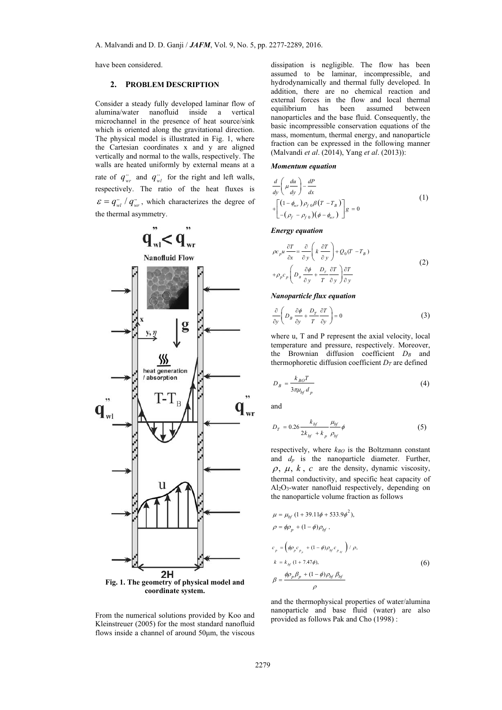have been considered.

## **2. PROBLEM DESCRIPTION**

Consider a steady fully developed laminar flow of alumina/water nanofluid inside a vertical microchannel in the presence of heat source/sink which is oriented along the gravitational direction. The physical model is illustrated in Fig. 1, where the Cartesian coordinates x and y are aligned vertically and normal to the walls, respectively. The walls are heated uniformly by external means at a rate of  $q_{wr}^{\prime\prime}$  and  $q_{wl}^{\prime\prime}$  for the right and left walls, respectively. The ratio of the heat fluxes is  $\mathcal{E} = q_{wl}^{v} / q_{wr}^{v}$ , which characterizes the degree of the thermal asymmetry.



From the numerical solutions provided by Koo and Kleinstreuer (2005) for the most standard nanofluid flows inside a channel of around 50μm, the viscous

dissipation is negligible. The flow has been assumed to be laminar, incompressible, and hydrodynamically and thermal fully developed. In addition, there are no chemical reaction and external forces in the flow and local thermal equilibrium has been assumed between nanoparticles and the base fluid. Consequently, the basic incompressible conservation equations of the mass, momentum, thermal energy, and nanoparticle fraction can be expressed in the following manner (Malvandi *et al*. (2014), Yang *et al*. (2013)):

#### *Momentum equation*

$$
\frac{d}{dy} \left( \mu \frac{du}{dy} \right) - \frac{dP}{dx}
$$
\n
$$
+ \left[ \left( 1 - \phi_{wr} \right) \rho_{f \, 0} \beta \left( T - T_B \right) \right] g = 0
$$
\n
$$
(1)
$$

#### *Energy equation*

$$
\rho c_{p} u \frac{\partial T}{\partial x} = \frac{\partial}{\partial y} \left( k \frac{\partial T}{\partial y} \right) + Q_{0} (T - T_{B})
$$
  
+  $\rho_{p} c_{p} \left( D_{B} \frac{\partial \phi}{\partial y} + \frac{D_{r}}{T} \frac{\partial T}{\partial y} \right) \frac{\partial T}{\partial y}$  (2)

## *Nanoparticle flux equation*

$$
\frac{\partial}{\partial y}\left(D_B \frac{\partial \phi}{\partial y} + \frac{D_T}{T} \frac{\partial T}{\partial y}\right) = 0
$$
\n(3)

where u, T and P represent the axial velocity, local temperature and pressure, respectively. Moreover, the Brownian diffusion coefficient *DB* and thermophoretic diffusion coefficient  $D_T$  are defined

$$
D_B = \frac{k_{BO}T}{3\pi\mu_{bf} d_p} \tag{4}
$$

and

$$
D_T = 0.26 \frac{k_{bf}}{2k_{bf} + k_p} \frac{\mu_{bf}}{\rho_{bf}} \phi
$$
 (5)

respectively, where  $k_{BO}$  is the Boltzmann constant and *dp* is the nanoparticle diameter. Further,  $\rho, \mu, k, c$  are the density, dynamic viscosity, thermal conductivity, and specific heat capacity of Al2O3-water nanofluid respectively, depending on the nanoparticle volume fraction as follows

$$
\mu = \mu_{bf} (1 + 39.11\phi + 533.9\phi^{2}), \n\rho = \phi \rho_{p} + (1 - \phi) \rho_{bf}, \n c_{p} = (\phi \rho_{p} c_{p_{p}} + (1 - \phi) \rho_{bf} c_{p_{bf}}) / \rho, \n k = k_{bf} (1 + 7.47\phi), \n\beta = \frac{\phi \rho_{p} \beta_{p} + (1 - \phi) \rho_{bf} \beta_{bf}}{\rho}
$$
\n(6)

and the thermophysical properties of water/alumina nanoparticle and base fluid (water) are also provided as follows Pak and Cho (1998) :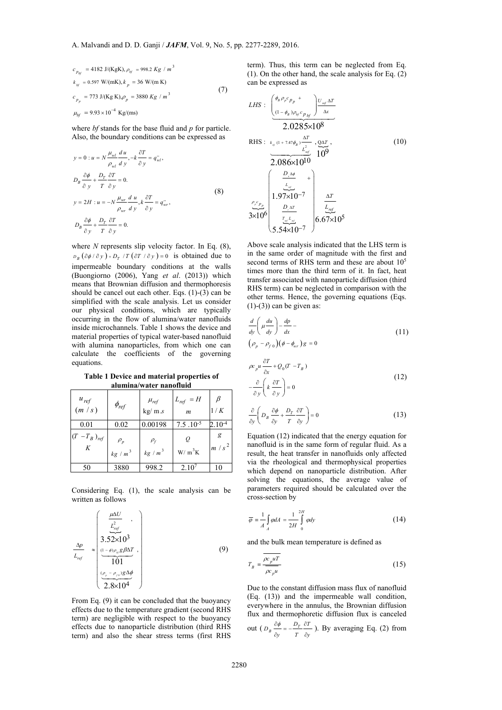$$
c_{p_{bf}} = 4182 \text{ J/(KgK)}, \rho_{bf} = 998.2 \text{ Kg} / m^3
$$
  
\n
$$
k_{bf} = 0.597 \text{ W/(mK)}, k_p = 36 \text{ W/(m K)}
$$
  
\n
$$
c_{p_p} = 773 \text{ J/(Kg K)}, \rho_p = 3880 \text{ Kg} / m^3
$$
  
\n
$$
\mu_{bf} = 9.93 \times 10^{-4} \text{ kg/(ms)}
$$
\n(7)

where *bf* stands for the base fluid and *p* for particle. Also, the boundary conditions can be expressed as

$$
y = 0: u = N \frac{\mu_{wl}}{\rho_{wl}} \frac{du}{dy}, -k \frac{\partial T}{\partial y} = q_{wl}^{..},
$$
  
\n
$$
D_B \frac{\partial \phi}{\partial y} + \frac{D_T}{T} \frac{\partial T}{\partial y} = 0.
$$
  
\n
$$
y = 2H: u = -N \frac{\mu_{wr}}{\rho_{wr}} \frac{du}{dy}, k \frac{\partial T}{\partial y} = q_{wr}^{..},
$$
  
\n
$$
D_B \frac{\partial \phi}{\partial y} + \frac{D_T}{T} \frac{\partial T}{\partial y} = 0.
$$
  
\n(8)

where *N* represents slip velocity factor. In Eq. (8),  $D_p$   $(\partial \phi / \partial y) + D_r$  /*T*  $(\partial T / \partial y) = 0$  is obtained due to impermeable boundary conditions at the walls (Buongiorno (2006), Yang *et al*. (2013)) which means that Brownian diffusion and thermophoresis should be cancel out each other. Eqs. (1)-(3) can be simplified with the scale analysis. Let us consider our physical conditions, which are typically occurring in the flow of alumina/water nanofluids inside microchannels. Table 1 shows the device and material properties of typical water-based nanofluid with alumina nanoparticles, from which one can calculate the coefficients of the governing equations.

**Table 1 Device and material properties of alumina/water nanofluid** 

| $u_{ref}$<br>(m/s)     | $\phi_{ref}$                              | $\mu_{\textit{ref}}$ kg/ m.s | $L_{ref} = H$<br>$\boldsymbol{m}$        | β<br>1/K     |
|------------------------|-------------------------------------------|------------------------------|------------------------------------------|--------------|
| 0.01                   | 0.02                                      | 0.00198                      | $7.5 \cdot 10^{-5}$                      | $2.10^{-4}$  |
| $(T - T_B)_{ref}$<br>K | $\rho_{\scriptscriptstyle p}$<br>$kg/m^3$ | $\rho_f$<br>$kg/m^3$         | Q<br>$\mathrm{W}/\mathrm{m}^3\mathrm{K}$ | g<br>$m/s^2$ |
| 50                     | 3880                                      | 998.2                        | $2.10^{7}$                               | 10           |

Considering Eq. (1), the scale analysis can be written as follows

$$
\frac{\Delta p}{L_{ref}} \approx \begin{pmatrix} \frac{\mu \Delta U}{L_{ref}^2} \\ 3.52 \times 10^3 \\ \frac{(1-\phi)\rho_{\psi}g\beta\Delta T}{101} \\ \frac{(\rho_{\rho}-\rho_{\rho\psi})g\Delta\phi}{2.8 \times 10^4} \end{pmatrix} \tag{9}
$$

From Eq. (9) it can be concluded that the buoyancy effects due to the temperature gradient (second RHS term) are negligible with respect to the buoyancy effects due to nanoparticle distribution (third RHS term) and also the shear stress terms (first RHS

term). Thus, this term can be neglected from Eq. (1). On the other hand, the scale analysis for Eq. (2) can be expressed as

*LHS* : 
$$
\underbrace{\begin{pmatrix} \phi_{B} \rho_{p} c_{p} & + \\ (1 - \phi_{B}) \rho_{b j} c_{p} & \Delta T \\ (1 - \phi_{B}) \rho_{b j} c_{p} & \Delta T \end{pmatrix}}_{2.0285 \times 10^{8}}
$$
\nRHS :  $k_{s j} (1 + 7.47 \phi_{B}) \frac{\Delta T}{L_{ref}^{2}}$ ,  $Q \Delta T$ ,  $Q \Delta T$ ,  $Q \Delta T$ ,  $Q \Delta T$ ,  $Q \Delta T$ ,  $Q \Delta T$ ,  $Q \Delta T$ ,  $Q \Delta T$ ,  $Q \Delta T$ ,  $Q \Delta T$ ,  $Q \Delta T$ ,  $Q \Delta T$ ,  $Q \Delta T$ ,  $Q \Delta T$ ,  $Q \Delta T$ ,  $Q \Delta T$ ,  $Q \Delta T$ ,  $Q \Delta T$ ,  $Q \Delta T$ ,  $Q \Delta T$ ,  $Q \Delta T$ ,  $Q \Delta T$ ,  $Q \Delta T$ ,  $Q \Delta T$ ,  $Q \Delta T$ ,  $Q \Delta T$ ,  $Q \Delta T$ ,  $Q \Delta T$ ,  $Q \Delta T$ ,  $Q \Delta T$ ,  $Q \Delta T$ ,  $Q \Delta T$ ,  $Q \Delta T$ ,  $Q \Delta T$ ,  $Q \Delta T$ ,  $Q \Delta T$ ,  $Q \Delta T$ ,  $Q \Delta T$ ,  $Q \Delta T$ ,  $Q \Delta T$ ,  $Q \Delta T$ ,  $Q \Delta T$ ,  $Q \Delta T$ ,  $Q \Delta T$ ,  $Q \Delta T$ ,  $Q \Delta T$ ,  $Q \Delta T$ ,  $Q \Delta T$ ,  $Q \Delta T$ ,  $Q \Delta T$ ,  $Q \Delta T$ ,  $Q \Delta T$ ,  $Q \Delta T$ ,  $Q \Delta T$ ,  $Q \Delta T$ ,  $Q \Delta T$ ,  $Q \Delta T$ ,  $Q \Delta T$ ,  $Q \Delta T$ ,  $Q \Delta T$ ,  $Q \Delta T$ ,  $Q \Delta T$ ,

Above scale analysis indicated that the LHS term is in the same order of magnitude with the first and second terms of RHS term and these are about  $10^5$ times more than the third term of it. In fact, heat transfer associated with nanoparticle diffusion (third RHS term) can be neglected in comparison with the other terms. Hence, the governing equations (Eqs.  $(1)-(3)$ ) can be given as:

$$
\frac{d}{dy}\left(\mu \frac{du}{dy}\right) - \frac{dp}{dx} - \left(\rho_p - \rho_{f0}\right)\left(\phi - \phi_{wr}\right)g = 0
$$
\n(11)

$$
\rho c_{\mu} u \frac{\partial T}{\partial x} + Q_0 (T - T_B)
$$
  

$$
-\frac{\partial}{\partial y} \left( k \frac{\partial T}{\partial y} \right) = 0
$$
 (12)

$$
\frac{\partial}{\partial y} \left( D_B \frac{\partial \phi}{\partial y} + \frac{D_T}{T} \frac{\partial T}{\partial y} \right) = 0 \tag{13}
$$

Equation (12) indicated that the energy equation for nanofluid is in the same form of regular fluid. As a result, the heat transfer in nanofluids only affected via the rheological and thermophysical properties which depend on nanoparticle distribution. After solving the equations, the average value of parameters required should be calculated over the cross-section by

$$
\overline{\varphi} = \frac{1}{A} \int_{A} \varphi dA = \frac{1}{2H} \int_{0}^{2H} \varphi dy
$$
 (14)

and the bulk mean temperature is defined as

$$
T_B = \frac{\overline{\rho c_p u T}}{\overline{\rho c_p u}}
$$
\n(15)

Due to the constant diffusion mass flux of nanofluid (Eq. (13)) and the impermeable wall condition, everywhere in the annulus, the Brownian diffusion flux and thermophoretic diffusion flux is canceled

out 
$$
(D_B \frac{\partial \phi}{\partial y} = -\frac{D_T}{T} \frac{\partial T}{\partial y})
$$
. By averaging Eq. (2) from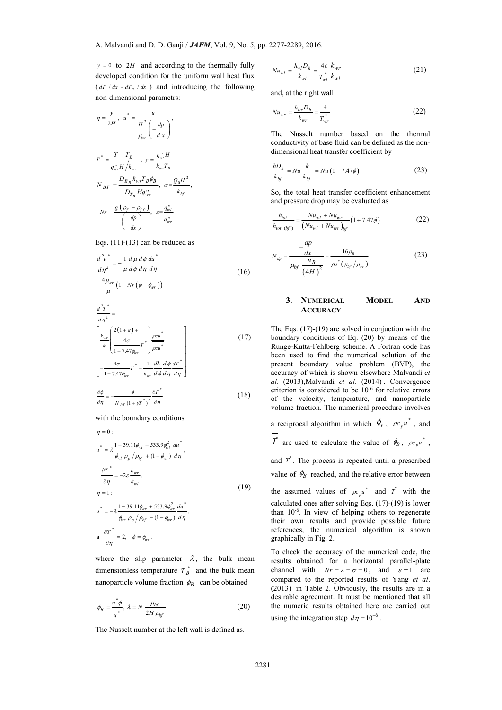$y = 0$  to 2*H* and according to the thermally fully developed condition for the uniform wall heat flux  $(dT / dx = dT_B / dx)$  and introducing the following non-dimensional parametrs:

$$
\eta = \frac{y}{2H}, \quad u^* = \frac{u}{\frac{H^2}{\mu_{wr}}} \left( -\frac{dp}{dx} \right),
$$
\n
$$
T^* = \frac{T - T_B}{q_{wr}^* H / k_{wr}}, \quad y = \frac{q_{wr}^* H}{k_{wr} T_B}
$$
\n
$$
N_{BT} = \frac{D_{B_B} k_{wr} T_B \phi_B}{D_{T_B} H q_{wr}^*}, \quad \sigma = \frac{Q_0 H^2}{k_{bf}},
$$
\n
$$
Nr = \frac{g \left( \rho_f - \rho_{f0} \right)}{\left( -\frac{dp}{dx} \right)}, \quad \varepsilon = \frac{q_{wr}^*}{q_{wr}^*}
$$

Eqs. (11)-(13) can be reduced as

$$
\frac{d^2 u^*}{d\eta^2} = -\frac{1}{\mu} \frac{d\mu}{d\phi} \frac{d\phi}{d\eta} \frac{du^*}{d\eta}
$$
\n
$$
-\frac{4\mu_{wr}}{\mu} \left(1 - Nr(\phi - \phi_{vr})\right)
$$
\n
$$
\frac{d^2 T^*}{d\eta^2} =
$$
\n(16)

$$
\begin{bmatrix} k_{wr} \left( \frac{2(1+\varepsilon) + \cdots}{4\sigma} T^* \right) \frac{\rho c u^*}{\rho c u^*} \\ \frac{4\sigma}{1 + 7.47 \phi_{wr}} T^* - \frac{1}{\mu c u^*} \frac{dk}{\phi} \frac{d \phi}{d \eta} \frac{d T^*}{d \eta} \end{bmatrix}
$$
(17)

$$
\frac{\partial \phi}{\partial \eta} = -\frac{\phi}{N_{BT}(1 + \gamma T^*)^2} \frac{\partial T^*}{\partial \eta}
$$
 (18)

with the boundary conditions

$$
\eta = 0:
$$
\n
$$
u^* = \lambda \frac{1 + 39.11 \phi_{vel} + 533.9 \phi_{vel}^2}{\phi_{vel} \rho_p / \rho_{bf} + (1 - \phi_{vel})} \frac{du^*}{d\eta},
$$
\n
$$
\frac{\partial T^*}{\partial \eta} = -2\varepsilon \frac{k_{wr}}{k_{vel}}.
$$
\n
$$
\eta = 1:
$$
\n
$$
u^* = -\lambda \frac{1 + 39.11 \phi_{wr} + 533.9 \phi_{wr}^2}{\phi_{wr} \rho_p / \rho_{bf} + (1 - \phi_{wr})} \frac{du^*}{d\eta},
$$
\n
$$
a \frac{\partial T^*}{\partial \eta} = 2, \quad \phi = \phi_{wr}.
$$
\n(19)

where the slip parameter  $\lambda$ , the bulk mean dimensionless temperature  $T_B^*$  and the bulk mean nanoparticle volume fraction  $\phi_B$  can be obtained

$$
\phi_B = \frac{\overline{u^* \phi}}{\overline{u^*}}, \ \lambda = N \frac{\mu_{bf}}{2H \rho_{bf}} \tag{20}
$$

The Nusselt number at the left wall is defined as.

$$
Nu_{wl} = \frac{h_{wl}D_h}{k_{wl}} = \frac{4\varepsilon}{T_{wl}^*} \frac{k_{wr}}{k_{wl}}
$$
 (21)

and, at the right wall

$$
Nu_{wr} = \frac{h_{wr}D_h}{k_{wr}} = \frac{4}{T_{wr}^*}
$$
 (22)

The Nusselt number based on the thermal conductivity of base fluid can be defined as the nondimensional heat transfer coefficient by

$$
\frac{hD_h}{k_{bf}} = Nu\frac{k}{k_{bf}} = Nu\left(1 + 7.47\phi\right)
$$
\n(23)

So, the total heat transfer coefficient enhancement and pressure drop may be evaluated as

$$
\frac{h_{tot}}{h_{tot~(bf)}} = \frac{Nu_{wl} + Nu_{wr}}{(Nu_{wl} + Nu_{wr})_{bf}} (1 + 7.47\phi)
$$
\n(22)

$$
N_{dp} = \frac{-\frac{dp}{dx}}{\mu_{bf} \frac{u_B}{\left(4H\right)^2}} = \frac{16\rho_B}{\rho u^*(\mu_{bf}/\mu_{wr})}
$$
(23)

# **3. NUMERICAL MODEL AND ACCURACY**

The Eqs.  $(17)-(19)$  are solved in conjuction with the boundary conditions of Eq. (20) by means of the Runge-Kutta-Fehlberg scheme. A Fortran code has been used to find the numerical solution of the present boundary value problem (BVP), the accuracy of which is shown elsewhere Malvandi *et al*. (2013),Malvandi *et al*. (2014) . Convergence criterion is considered to be 10-6 for relative errors of the velocity, temperature, and nanoparticle volume fraction. The numerical procedure involves a reciprocal algorithm in which  $\phi_w$ ,  $\rho c_p u^*$ , and  $T^*$  are used to calculate the value of  $\phi_B$ ,  $\rho c_p u^*$ , and  $\overline{T}^*$ . The process is repeated until a prescribed value of  $\phi_B$  reached, and the relative error between the assumed values of  $\rho c_{\nu} u^*$  and  $T^*$  with the

calculated ones after solving Eqs. (17)-(19) is lower than  $10^{-6}$ . In view of helping others to regenerate their own results and provide possible future references, the numerical algorithm is shown graphically in Fig. 2.

To check the accuracy of the numerical code, the results obtained for a horizontal parallel-plate channel with  $Nr = \lambda = \sigma = 0$ , and  $\epsilon = 1$  are compared to the reported results of Yang *et al*. (2013) in Table 2. Obviously, the results are in a desirable agreement. It must be mentioned that all the numeric results obtained here are carried out using the integration step  $d\eta = 10^{-6}$ .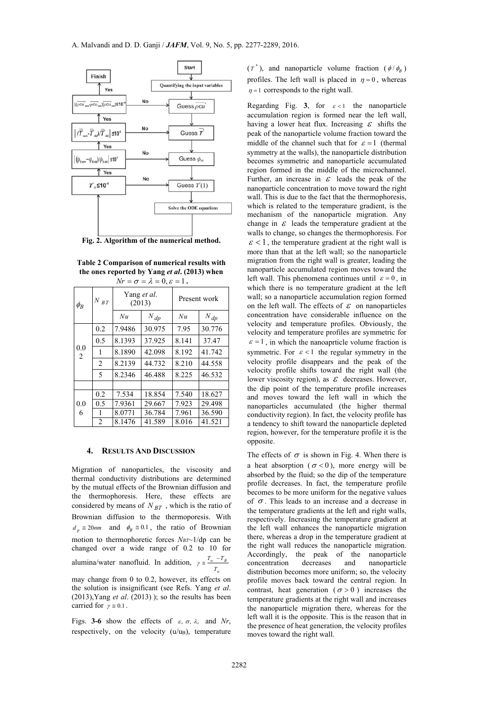

**Fig. 2. Algorithm of the numerical method.**

**Table 2 Comparison of numerical results with the ones reported by Yang** *et al***. (2013) when** 

| $Nr = \sigma = \lambda = 0, \varepsilon = 1$ . |                |                       |          |              |          |  |  |  |
|------------------------------------------------|----------------|-----------------------|----------|--------------|----------|--|--|--|
| $\phi_B$                                       | $N\>_{B\,T}$   | Yang et al.<br>(2013) |          | Present work |          |  |  |  |
|                                                |                | Nu                    | $N_{dp}$ | Nu           | $N_{dp}$ |  |  |  |
| 0.0<br>2                                       | 0.2            | 7.9486                | 30.975   | 7.95         | 30.776   |  |  |  |
|                                                | 0.5            | 8.1393                | 37.925   | 8.141        | 37.47    |  |  |  |
|                                                | 1              | 8.1890                | 42.098   | 8.192        | 41.742   |  |  |  |
|                                                | $\overline{2}$ | 8.2139                | 44.732   | 8.210        | 44.558   |  |  |  |
|                                                | 5              | 8.2346                | 46.488   | 8.225        | 46.532   |  |  |  |
|                                                |                |                       |          |              |          |  |  |  |
| 0.0<br>6                                       | 0.2            | 7.534                 | 18.854   | 7.540        | 18.627   |  |  |  |
|                                                | 0.5            | 7.9361                | 29.667   | 7.923        | 29.498   |  |  |  |
|                                                | 1              | 8.0771                | 36.784   | 7.961        | 36.590   |  |  |  |
|                                                | $\mathfrak{D}$ | 8.1476                | 41.589   | 8.016        | 41.521   |  |  |  |

#### **4. RESULTS AND DISCUSSION**

Migration of nanoparticles, the viscosity and thermal conductivity distributions are determined by the mutual effects of the Brownian diffusion and the thermophoresis. Here, these effects are considered by means of *N BT* , which is the ratio of Brownian diffusion to the thermoporesis. With  $d_p \approx 20$ nm and  $\phi_B \approx 0.1$ , the ratio of Brownian motion to thermophoretic forces  $N_{BT}$ ~1/dp can be changed over a wide range of 0.2 to 10 for alumina/water nanofluid. In addition,  $\gamma \approx \frac{I_w - I_B}{I_w}$ *w*  $T_{\rm w}$   $-1$  $\gamma \cong \frac{T_w - T_w}{T_w}$ 

may change from 0 to 0.2, however, its effects on the solution is insignificant (see Refs. Yang *et al*.  $(2013)$ , Yang *et al.*  $(2013)$ ; so the results has been carried for  $\gamma \approx 0.1$ .

Figs. **3-6** show the effects of  $\varepsilon$ ,  $\sigma$ ,  $\lambda$ , and *Nr*, respectively, on the velocity  $(u/u)$ , temperature  $(T^*)$ , and nanoparticle volume fraction  $(\phi/\phi_B)$ profiles. The left wall is placed in  $\eta = 0$ , whereas  $\eta = 1$  corresponds to the right wall.

Regarding Fig. 3, for  $\varepsilon < 1$  the nanoparticle accumulation region is formed near the left wall, having a lower heat flux. Increasing  $\varepsilon$  shifts the peak of the nanoparticle volume fraction toward the middle of the channel such that for  $\varepsilon = 1$  (thermal symmetry at the walls), the nanoparticle distribution becomes symmetric and nanoparticle accumulated region formed in the middle of the microchannel. Further, an increase in  $\varepsilon$  leads the peak of the nanoparticle concentration to move toward the right wall. This is due to the fact that the thermophoresis, which is related to the temperature gradient, is the mechanism of the nanoparticle migration. Any change in  $\mathcal E$  leads the temperature gradient at the walls to change, so changes the thermophoresis. For  $\epsilon$  < 1, the temperature gradient at the right wall is more than that at the left wall; so the nanoparticle migration from the right wall is greater, leading the nanoparticle accumulated region moves toward the left wall. This phenomena continues until  $\varepsilon = 0$ , in which there is no temperature gradient at the left wall; so a nanoparticle accumulation region formed on the left wall. The effects of  $\varepsilon$  on nanoparticles concentration have considerable influence on the velocity and temperature profiles. Obviously, the velocity and temperature profiles are symmetric for  $\epsilon = 1$ , in which the nanoaprticle volume fraction is symmetric. For  $\varepsilon < 1$  the regular symmetry in the velocity profile disappears and the peak of the velocity profile shifts toward the right wall (the lower viscosity region), as  $\mathcal E$  decreases. However, the dip point of the temperature profile increases and moves toward the left wall in which the nanoparticles accumulated (the higher thermal conductivity region). In fact, the velocity profile has a tendency to shift toward the nanoparticle depleted region, however, for the temperature profile it is the opposite.

The effects of  $\sigma$  is shown in Fig. 4. When there is a heat absorption ( $\sigma$ <0), more energy will be absorbed by the fluid; so the dip of the temperature profile decreases. In fact, the temperature profile becomes to be more uniform for the negative values of  $\sigma$ . This leads to an increase and a decrease in the temperature gradients at the left and right walls, respectively. Increasing the temperature gradient at the left wall enhances the nanoparticle migration there, whereas a drop in the temperature gradient at the right wall reduces the nanoparticle migration.<br>Accordingly, the peak of the nanoparticle the peak of the nanoparticle concentration decreases and nanoparticle distribution becomes more uniform; so, the velocity profile moves back toward the central region. In contrast, heat generation ( $\sigma > 0$ ) increases the temperature gradients at the right wall and increases the nanoparticle migration there, whereas for the left wall it is the opposite. This is the reason that in the presence of heat generation, the velocity profiles moves toward the right wall.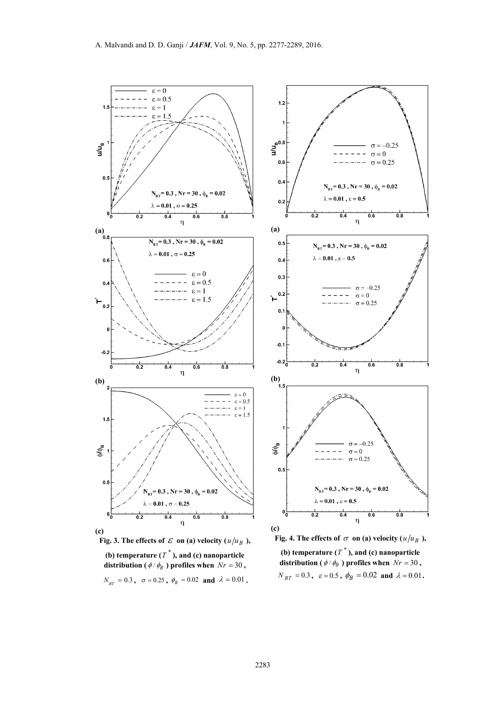







**(b) temperature**  $(T^*)$ **, and <b>(c) nanoparticle distribution (** $\phi$  /  $\phi_B$ ) profiles when  $Nr = 30$ ,  $N_{BT} = 0.3$ ,  $\varepsilon = 0.5$ ,  $\phi_B = 0.02$  and  $\lambda = 0.01$ .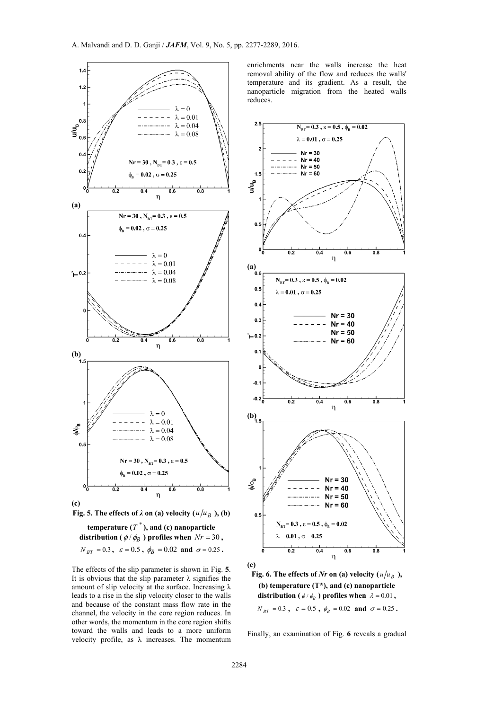

 $N_{BT} = 0.3$ ,  $\varepsilon = 0.5$ ,  $\phi_B = 0.02$  and  $\sigma = 0.25$ .

The effects of the slip parameter is shown in Fig. **5**. It is obvious that the slip parameter  $\lambda$  signifies the amount of slip velocity at the surface. Increasing λ leads to a rise in the slip velocity closer to the walls and because of the constant mass flow rate in the channel, the velocity in the core region reduces. In other words, the momentum in the core region shifts toward the walls and leads to a more uniform velocity profile, as  $\lambda$  increases. The momentum

enrichments near the walls increase the heat removal ability of the flow and reduces the walls' temperature and its gradient. As a result, the nanoparticle migration from the heated walls reduces.



**(c)** 

**Fig. 6. The effects of** *Nr* on (a) velocity ( $u/u_B$ ), **(b) temperature (T\*), and (c) nanoparticle distribution (** $\phi$  /  $\phi$ <sub>*R*</sub> **)** profiles when  $\lambda = 0.01$ ,  $N_{BT} = 0.3$ ,  $\varepsilon = 0.5$ ,  $\phi_B = 0.02$  **and**  $\sigma = 0.25$ .

Finally, an examination of Fig. **6** reveals a gradual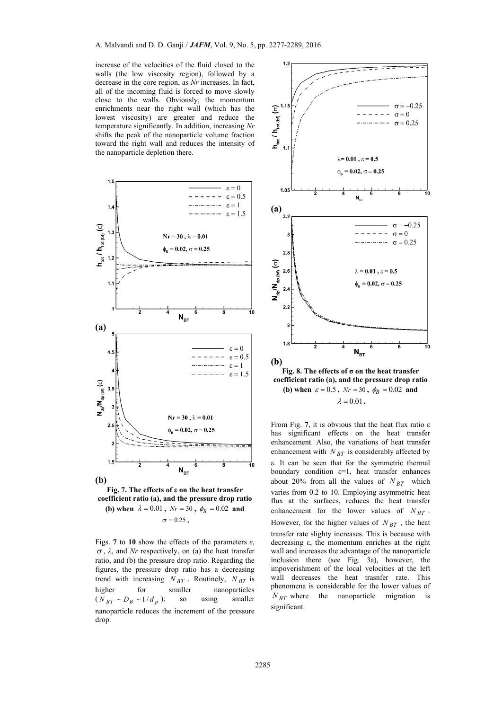increase of the velocities of the fluid closed to the walls (the low viscosity region), followed by a decrease in the core region, as *Nr* increases. In fact, all of the incoming fluid is forced to move slowly close to the walls. Obviously, the momentum enrichments near the right wall (which has the lowest viscosity) are greater and reduce the temperature significantly. In addition, increasing *Nr* shifts the peak of the nanoparticle volume fraction toward the right wall and reduces the intensity of the nanoparticle depletion there.





Figs. **7** to **10** show the effects of the parameters  $\varepsilon$ ,  $\sigma$ ,  $\lambda$ , and *Nr* respectively, on (a) the heat transfer ratio, and (b) the pressure drop ratio. Regarding the figures, the pressure drop ratio has a decreasing trend with increasing  $N_{BT}$ . Routinely,  $N_{BT}$  is<br>higher for smaller nanoparticles higher for smaller nanoparticles  $(N_{BT} \sim D_B \sim 1/d_p)$ ; so using smaller nanoparticle reduces the increment of the pressure drop.



**Fig. 8. The effects of σ on the heat transfer coefficient ratio (a), and the pressure drop ratio (b)** when  $\varepsilon = 0.5$ ,  $Nr = 30$ ,  $\phi_R = 0.02$  and  $\lambda = 0.01$ .

From Fig. **7**, it is obvious that the heat flux ratio ε has significant effects on the heat transfer enhancement. Also, the variations of heat transfer enhancement with  $N_{BT}$  is considerably affected by ε. It can be seen that for the symmetric thermal boundary condition  $\varepsilon=1$ , heat transfer enhances about 20% from all the values of  $N_{BT}$  which varies from 0.2 to 10. Employing asymmetric heat flux at the surfaces, reduces the heat transfer enhancement for the lower values of  $N_{BT}$ . However, for the higher values of  $N_{BT}$ , the heat transfer rate slighty increases. This is because with decreasing ε, the momentum enriches at the right wall and increases the advantage of the nanoparticle inclusion there (see Fig. 3a), however, the impoverishment of the local velocities at the left wall decreases the heat trasnfer rate. This phenomena is considerable for the lower values of  $N_{BT}$  where the nanoparticle migration is significant.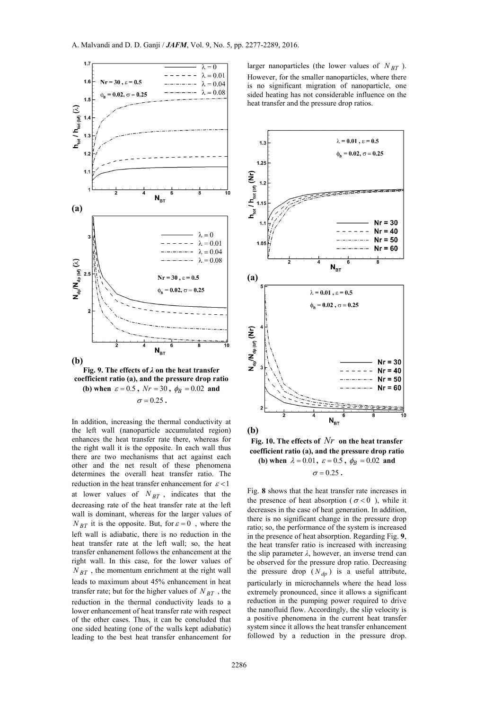



In addition, increasing the thermal conductivity at the left wall (nanoparticle accumulated region) enhances the heat transfer rate there, whereas for the right wall it is the opposite. In each wall thus there are two mechanisms that act against each other and the net result of these phenomena determines the overall heat transfer ratio. The reduction in the heat transfer enhancement for  $\varepsilon < 1$ at lower values of  $N_{BT}$ , indicates that the decreasing rate of the heat transfer rate at the left wall is dominant, whereas for the larger values of  $N_{BT}$  it is the opposite. But, for  $\varepsilon = 0$ , where the left wall is adiabatic, there is no reduction in the heat transfer rate at the left wall; so, the heat transfer enhanement follows the enhancement at the right wall. In this case, for the lower values of  $N_{BT}$ , the momentum enrichment at the right wall leads to maximum about 45% enhancement in heat transfer rate; but for the higher values of  $N_{BT}$ , the reduction in the thermal conductivity leads to a lower enhancement of heat transfer rate with respect of the other cases. Thus, it can be concluded that one sided heating (one of the walls kept adiabatic) leading to the best heat transfer enhancement for

larger nanoparticles (the lower values of  $N_{BT}$ ). However, for the smaller nanoparticles, where there is no significant migration of nanoparticle, one sided heating has not considerable influence on the heat transfer and the pressure drop ratios.



**Fig. 10. The effects of** *Nr* **on the heat transfer coefficient ratio (a), and the pressure drop ratio (b)** when  $\lambda = 0.01$ ,  $\varepsilon = 0.5$ ,  $\phi_B = 0.02$  and

 $\sigma = 0.25$ .

Fig. **8** shows that the heat transfer rate increases in the presence of heat absorption ( $\sigma$ <0), while it decreases in the case of heat generation. In addition, there is no significant change in the pressure drop ratio; so, the performance of the system is increased in the presence of heat absorption. Regarding Fig. **9**, the heat transfer ratio is increased with increasing the slip parameter  $\lambda$ , however, an inverse trend can be observed for the pressure drop ratio. Decreasing the pressure drop  $(N_{dp})$  is a useful attribute, particularly in microchannels where the head loss extremely pronounced, since it allows a significant reduction in the pumping power required to drive the nanofluid flow. Accordingly, the slip velocity is a positive phenomena in the current heat transfer system since it allows the heat transfer enhancement followed by a reduction in the pressure drop.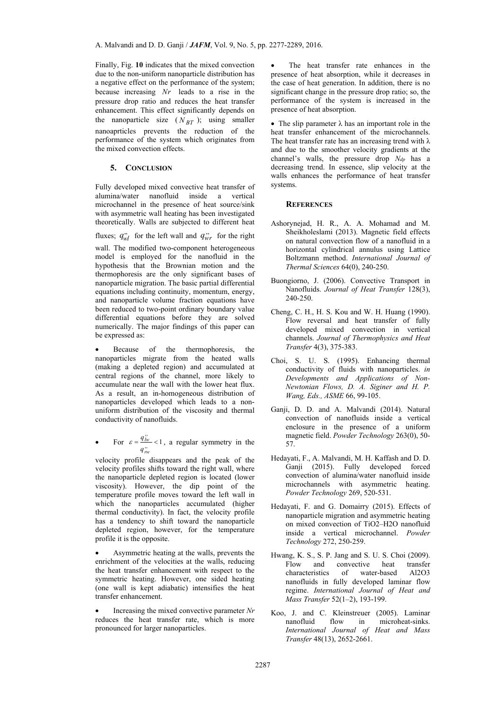Finally, Fig. **10** indicates that the mixed convection due to the non-uniform nanoparticle distribution has a negative effect on the performance of the system; because increasing *Nr* leads to a rise in the pressure drop ratio and reduces the heat transfer enhancement. This effect significantly depends on the nanoparticle size  $(N_{BT})$ ; using smaller nanoaprticles prevents the reduction of the performance of the system which originates from the mixed convection effects.

## **5. CONCLUSION**

Fully developed mixed convective heat transfer of alumina/water nanofluid inside a vertical microchannel in the presence of heat source/sink with asymmetric wall heating has been investigated theoretically. Walls are subjected to different heat

fluxes;  $q_{wl}^{\prime\prime}$  for the left wall and  $q_{wr}^{\prime\prime}$  for the right

wall. The modified two-component heterogeneous model is employed for the nanofluid in the hypothesis that the Brownian motion and the thermophoresis are the only significant bases of nanoparticle migration. The basic partial differential equations including continuity, momentum, energy, and nanoparticle volume fraction equations have been reduced to two-point ordinary boundary value differential equations before they are solved numerically. The major findings of this paper can be expressed as:

 Because of the thermophoresis, the nanoparticles migrate from the heated walls (making a depleted region) and accumulated at central regions of the channel, more likely to accumulate near the wall with the lower heat flux. As a result, an in-homogeneous distribution of nanoparticles developed which leads to a nonuniform distribution of the viscosity and thermal conductivity of nanofluids.

• For  $\varepsilon = \frac{q_{lw}^{n}}{q_{rw}^{n}} < 1$ *q*  $\varepsilon = \frac{q_{Iw}}{q_{Iw}} < 1$ , a regular symmetry in the

velocity profile disappears and the peak of the velocity profiles shifts toward the right wall, where the nanoparticle depleted region is located (lower viscosity). However, the dip point of the temperature profile moves toward the left wall in which the nanoparticles accumulated (higher thermal conductivity). In fact, the velocity profile has a tendency to shift toward the nanoparticle depleted region, however, for the temperature profile it is the opposite.

 Asymmetric heating at the walls, prevents the enrichment of the velocities at the walls, reducing the heat transfer enhancement with respect to the symmetric heating. However, one sided heating (one wall is kept adiabatic) intensifies the heat transfer enhancement.

 Increasing the mixed convective parameter *Nr* reduces the heat transfer rate, which is more pronounced for larger nanoparticles.

 The heat transfer rate enhances in the presence of heat absorption, while it decreases in the case of heat generation. In addition, there is no significant change in the pressure drop ratio; so, the performance of the system is increased in the presence of heat absorption.

• The slip parameter  $\lambda$  has an important role in the heat transfer enhancement of the microchannels. The heat transfer rate has an increasing trend with  $\lambda$ and due to the smoother velocity gradients at the channel's walls, the pressure drop *Ndp* has a decreasing trend. In essence, slip velocity at the walls enhances the performance of heat transfer systems.

### **REFERENCES**

- Ashorynejad, H. R., A. A. Mohamad and M. Sheikholeslami (2013). Magnetic field effects on natural convection flow of a nanofluid in a horizontal cylindrical annulus using Lattice Boltzmann method. *International Journal of Thermal Sciences* 64(0), 240-250.
- Buongiorno, J. (2006). Convective Transport in Nanofluids. *Journal of Heat Transfer* 128(3), 240-250.
- Cheng, C. H., H. S. Kou and W. H. Huang (1990). Flow reversal and heat transfer of fully developed mixed convection in vertical channels. *Journal of Thermophysics and Heat Transfer* 4(3), 375-383.
- Choi, S. U. S. (1995). Enhancing thermal conductivity of fluids with nanoparticles. *in Developments and Applications of Non-Newtonian Flows, D. A. Siginer and H. P. Wang, Eds., ASME* 66, 99-105.
- Ganji, D. D. and A. Malvandi (2014). Natural convection of nanofluids inside a vertical enclosure in the presence of a uniform magnetic field. *Powder Technology* 263(0), 50- 57.
- Hedayati, F., A. Malvandi, M. H. Kaffash and D. D. Ganii (2015). Fully developed forced convection of alumina/water nanofluid inside microchannels with asymmetric heating. *Powder Technology* 269, 520-531.
- Hedayati, F. and G. Domairry (2015). Effects of nanoparticle migration and asymmetric heating on mixed convection of TiO2–H2O nanofluid inside a vertical microchannel. *Powder Technology* 272, 250-259.
- Hwang, K. S., S. P. Jang and S. U. S. Choi (2009). Flow and convective heat transfer characteristics of water-based Al2O3 nanofluids in fully developed laminar flow regime. *International Journal of Heat and Mass Transfer* 52(1–2), 193-199.
- Koo, J. and C. Kleinstreuer (2005). Laminar nanofluid flow in microheat-sinks. *International Journal of Heat and Mass Transfer* 48(13), 2652-2661.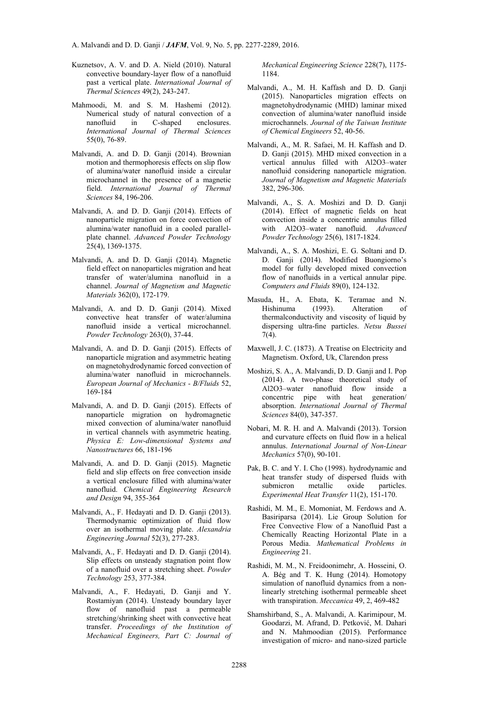- Kuznetsov, A. V. and D. A. Nield (2010). Natural convective boundary-layer flow of a nanofluid past a vertical plate. *International Journal of Thermal Sciences* 49(2), 243-247.
- Mahmoodi, M. and S. M. Hashemi (2012). Numerical study of natural convection of a nanofluid in C-shaped enclosures. *International Journal of Thermal Sciences* 55(0), 76-89.
- Malvandi, A. and D. D. Ganji (2014). Brownian motion and thermophoresis effects on slip flow of alumina/water nanofluid inside a circular microchannel in the presence of a magnetic field. *International Journal of Thermal Sciences* 84, 196-206.
- Malvandi, A. and D. D. Ganji (2014). Effects of nanoparticle migration on force convection of alumina/water nanofluid in a cooled parallelplate channel. *Advanced Powder Technology*  $25(4)$ , 1369-1375.
- Malvandi, A. and D. D. Ganji (2014). Magnetic field effect on nanoparticles migration and heat transfer of water/alumina nanofluid in a channel. *Journal of Magnetism and Magnetic Materials* 362(0), 172-179.
- Malvandi, A. and D. D. Ganji (2014). Mixed convective heat transfer of water/alumina nanofluid inside a vertical microchannel. *Powder Technology* 263(0), 37-44.
- Malvandi, A. and D. D. Ganji (2015). Effects of nanoparticle migration and asymmetric heating on magnetohydrodynamic forced convection of alumina/water nanofluid in microchannels. *European Journal of Mechanics - B/Fluids* 52, 169-184
- Malvandi, A. and D. D. Ganji (2015). Effects of nanoparticle migration on hydromagnetic mixed convection of alumina/water nanofluid in vertical channels with asymmetric heating. *Physica E: Low-dimensional Systems and Nanostructures* 66, 181-196
- Malvandi, A. and D. D. Ganji (2015). Magnetic field and slip effects on free convection inside a vertical enclosure filled with alumina/water nanofluid. *Chemical Engineering Research and Design* 94, 355-364
- Malvandi, A., F. Hedayati and D. D. Ganji (2013). Thermodynamic optimization of fluid flow over an isothermal moving plate. *Alexandria Engineering Journal* 52(3), 277-283.
- Malvandi, A., F. Hedayati and D. D. Ganji (2014). Slip effects on unsteady stagnation point flow of a nanofluid over a stretching sheet. *Powder Technology* 253, 377-384.
- Malvandi, A., F. Hedayati, D. Ganji and Y. Rostamiyan (2014). Unsteady boundary layer flow of nanofluid past a permeable stretching/shrinking sheet with convective heat transfer. *Proceedings of the Institution of Mechanical Engineers, Part C: Journal of*

*Mechanical Engineering Science* 228(7), 1175- 1184.

- Malvandi, A., M. H. Kaffash and D. D. Ganji (2015). Nanoparticles migration effects on magnetohydrodynamic (MHD) laminar mixed convection of alumina/water nanofluid inside microchannels. *Journal of the Taiwan Institute of Chemical Engineers* 52, 40-56.
- Malvandi, A., M. R. Safaei, M. H. Kaffash and D. D. Ganji (2015). MHD mixed convection in a vertical annulus filled with Al2O3–water nanofluid considering nanoparticle migration. *Journal of Magnetism and Magnetic Materials* 382, 296-306.
- Malvandi, A., S. A. Moshizi and D. D. Ganji (2014). Effect of magnetic fields on heat convection inside a concentric annulus filled with Al2O3–water nanofluid. *Advanced Powder Technology* 25(6), 1817-1824.
- Malvandi, A., S. A. Moshizi, E. G. Soltani and D. D. Ganji (2014). Modified Buongiorno's model for fully developed mixed convection flow of nanofluids in a vertical annular pipe. *Computers and Fluids* 89(0), 124-132.
- Masuda, H., A. Ebata, K. Teramae and N. Hishinuma (1993). Alteration of thermalconductivity and viscosity of liquid by dispersing ultra-fine particles. *Netsu Bussei* 7(4).
- Maxwell, J. C. (1873). A Treatise on Electricity and Magnetism. Oxford, Uk, Clarendon press
- Moshizi, S. A., A. Malvandi, D. D. Ganji and I. Pop (2014). A two-phase theoretical study of Al2O3–water nanofluid flow inside a concentric pipe with heat generation/ absorption. *International Journal of Thermal Sciences* 84(0), 347-357.
- Nobari, M. R. H. and A. Malvandi (2013). Torsion and curvature effects on fluid flow in a helical annulus. *International Journal of Non-Linear Mechanics* 57(0), 90-101.
- Pak, B. C. and Y. I. Cho (1998). hydrodynamic and heat transfer study of dispersed fluids with submicron metallic oxide particles. *Experimental Heat Transfer* 11(2), 151-170.
- Rashidi, M. M., E. Momoniat, M. Ferdows and A. Basiriparsa (2014). Lie Group Solution for Free Convective Flow of a Nanofluid Past a Chemically Reacting Horizontal Plate in a Porous Media. *Mathematical Problems in Engineering* 21.
- Rashidi, M. M., N. Freidoonimehr, A. Hosseini, O. A. Bég and T. K. Hung (2014). Homotopy simulation of nanofluid dynamics from a nonlinearly stretching isothermal permeable sheet with transpiration. *Meccanica* 49, 2, 469-482
- Shamshirband, S., A. Malvandi, A. Karimipour, M. Goodarzi, M. Afrand, D. Petković, M. Dahari and N. Mahmoodian (2015). Performance investigation of micro- and nano-sized particle